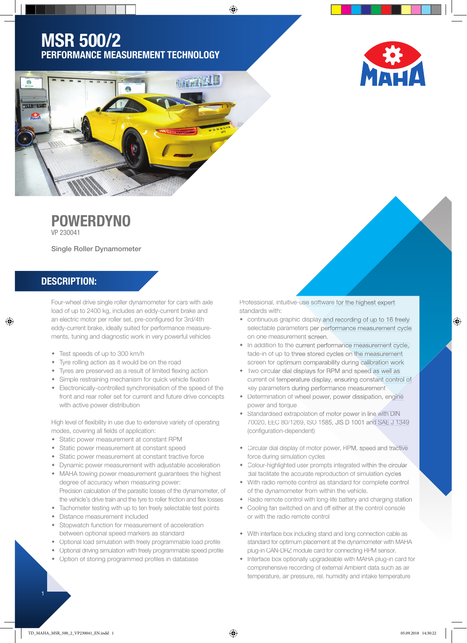# MSR 500/2 PERFORMANCE MEASUREMENT TECHNOLOGY





# **POWERDYNO**

VP 230041

Single Roller Dynamometer

## DESCRIPTION:

⊕

Four-wheel drive single roller dynamometer for cars with axle load of up to 2400 kg, includes an eddy-current brake and an electric motor per roller set, pre-configured for 3rd/4th eddy-current brake, ideally suited for performance measurements, tuning and diagnostic work in very powerful vehicles

- Test speeds of up to 300 km/h
- Tyre rolling action as it would be on the road
- Tyres are preserved as a result of limited flexing action
- Simple restraining mechanism for quick vehicle fixation
- Electronically-controlled synchronisation of the speed of the front and rear roller set for current and future drive concepts with active power distribution

High level of flexibility in use due to extensive variety of operating modes, covering all fields of application:

- Static power measurement at constant RPM
- Static power measurement at constant speed
- Static power measurement at constant tractive force
- Dynamic power measurement with adjustable acceleration MAHA towing power measurement guarantees the highest degree of accuracy when measuring power:
- Precision calculation of the parasitic losses of the dynamometer, of the vehicle's drive train and the tyre to roller friction and flex losses
- Tachometer testing with up to ten freely selectable test points Distance measurement included
- Stopwatch function for measurement of acceleration between optional speed markers as standard
- Optional load simulation with freely programmable load profile
- Optional driving simulation with freely programmable speed profile
- Option of storing programmed profiles in database

Professional, intuitive-use software for the highest expert standards with:

- continuous graphic display and recording of up to 16 freely selectable parameters per performance measurement cycle on one measurement screen.
- In addition to the current performance measurement cycle, fade-in of up to three stored cycles on the measurement screen for optimum comparability during calibration work
- Two circular dial displays for RPM and speed as well as current oil temperature display, ensuring constant control of key parameters during performance measurement
- Determination of wheel power, power dissipation, engine power and torque
- Standardised extrapolation of motor power in line with DIN 70020, EEC 80/1269, ISO 1585, JIS D 1001 and SAE J 1349 (configuration-dependent)
- Circular dial display of motor power, RPM, speed and tractive force during simulation cycles
- Colour-highlighted user prompts integrated within the circular dial facilitate the accurate reproduction of simulation cycles
- With radio remote control as standard for complete control of the dynamometer from within the vehicle.
- Radio remote control with long-life battery and charging station
- Cooling fan switched on and off either at the control console or with the radio remote control
- With interface box including stand and long connection cable as standard for optimum placement at the dynamometer with MAHA plug-in CAN-DRZ module card for connecting RPM sensor.
- Interface box optionally upgradeable with MAHA plug-in card for comprehensive recording of external Ambient data such as air temperature, air pressure, rel. humidity and intake temperature

⊕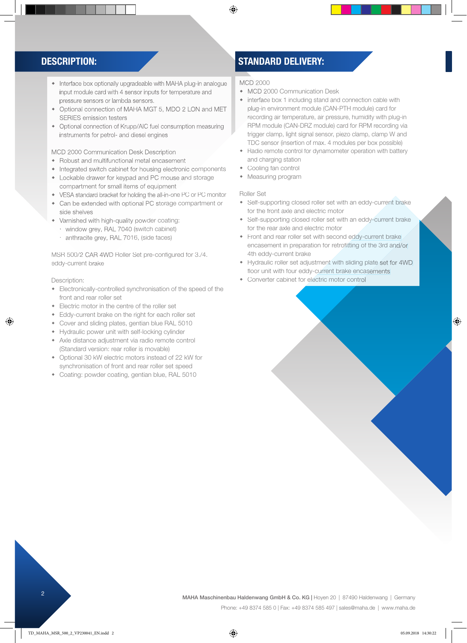- Interface box optionally upgradeable with MAHA plug-in analogue input module card with 4 sensor inputs for temperature and pressure sensors or lambda sensors.
- Optional connection of MAHA MGT 5, MDO 2 LON and MET SERIES emission testers
- Optional connection of Krupp/AIC fuel consumption measuring instruments for petrol- and diesel engines

### MCD 2000 Communication Desk Description

- Robust and multifunctional metal encasement
- Integrated switch cabinet for housing electronic components
- Lockable drawer for keypad and PC mouse and storage compartment for small items of equipment
- VESA standard bracket for holding the all-in-one PC or PC monitor
- Can be extended with optional PC storage compartment or side shelves
- Varnished with high-quality powder coating:
- window grey, RAL 7040 (switch cabinet)
- anthracite grey, RAL 7016, (side faces)

MSR 500/2 CAR 4WD Roller Set pre-configured for 3./4. eddy-current brake

Description:

♠

- Electronically-controlled synchronisation of the speed of the front and rear roller set
- Electric motor in the centre of the roller set
- Eddy-current brake on the right for each roller set
- Cover and sliding plates, gentian blue RAL 5010
- Hydraulic power unit with self-locking cylinder
- Axle distance adjustment via radio remote control (Standard version: rear roller is movable)
- Optional 30 kW electric motors instead of 22 kW for synchronisation of front and rear roller set speed
- Coating: powder coating, gentian blue, RAL 5010

## DESCRIPTION: STANDARD DELIVERY:

MCD 2000

 $\bigcirc$ 

- MCD 2000 Communication Desk
- interface box 1 including stand and connection cable with plug-in environment module (CAN-PTH module) card for recording air temperature, air pressure, humidity with plug-in RPM module (CAN-DRZ module) card for RPM recording via trigger clamp, light signal sensor, piezo clamp, clamp W and TDC sensor (insertion of max. 4 modules per box possible)
- Radio remote control for dynamometer operation with battery and charging station
- Cooling fan control
- Measuring program

#### Roller Set

- Self-supporting closed roller set with an eddy-current brake for the front axle and electric motor
- Self-supporting closed roller set with an eddy-current brake for the rear axle and electric motor
- Front and rear roller set with second eddy-current brake encasement in preparation for retrofitting of the 3rd and/or 4th eddy-current brake
- Hydraulic roller set adjustment with sliding plate set for 4WD floor unit with four eddy-current brake encasements
- Converter cabinet for electric motor control

<sup>2</sup> MAHA Maschinenbau Haldenwang GmbH & Co. KG | Hoyen 20 | 87490 Haldenwang | Germany

Phone: +49 8374 585 0 | Fax: +49 8374 585 497 | sales@maha.de | www.maha.de

⊕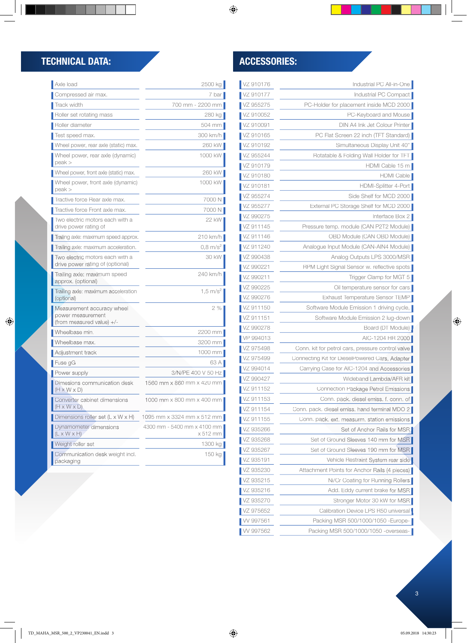## TECHNICAL DATA: ACCESSORIES:

 $\bigoplus$ 

| VZ 910176 | Industrial PC All-in-One                          |
|-----------|---------------------------------------------------|
| VZ 910177 | Industrial PC Compact                             |
| VZ 955275 | PC-Holder for placement inside MCD 2000           |
| VZ 910052 | PC-Keyboard and Mouse                             |
| VZ 910091 | DIN A4 Ink Jet Colour Printer                     |
| VZ 910165 | PC Flat Screen 22 inch (TFT Standard)             |
| VZ 910192 | Simultaneous Display Unit 40"                     |
| VZ 955244 | Rotatable & Folding Wall Holder for TFT           |
| VZ 910179 | HDMI Cable 15 m                                   |
| VZ 910180 | HDMI Cable                                        |
| VZ 910181 | HDMI-Splitter 4-Port                              |
| VZ 955274 | Side Shelf for MCD 2000                           |
| VZ 955277 | External PC Storage Shelf for MCD 2000            |
| VZ 990275 | Interface Box 2                                   |
| VZ 911145 | Pressure temp. module (CAN P2T2 Module)           |
| VZ 911146 | OBD Module (CAN OBD Module)                       |
| VZ 911240 | Analogue Input Module (CAN-AIN4 Module)           |
| VZ 990438 | Analog Outputs LPS 3000/MSR                       |
| VZ 990221 | RPM Light Signal Sensor w. reflective spots       |
| VZ 990211 | Trigger Clamp for MGT 5                           |
| VZ 990225 | Oil temperature sensor for cars                   |
| VZ 990276 | Exhaust Temperature Sensor TEMP                   |
| VZ 911150 | Software Module Emission 1 driving cycle,         |
| VZ 911151 | Software Module Emission 2 lug-down               |
| VZ 990278 | Board (DT Module)                                 |
| VP 994013 | AIC-1204 HR 2000                                  |
| VZ 975498 | Conn. kit for petrol cars, pressure control valve |
| VZ 975499 | Connecting Kit for DieselPowered Cars, Adapter    |
| VZ 994014 | Carrying Case for AIC-1204 and Accessories        |
| VZ 990427 | Wideband Lambda/AFR kit                           |
| VZ 911152 | Connection Package Petrol Emissions               |
| VZ 911153 | Conn. pack. diesel emiss. f. conn. of             |
| VZ 911154 | Conn. pack. diesel emiss. hand terminal MDO 2     |
| VZ 911155 | Conn. pack. ext. measurm. station emissions       |
| VZ 935266 | Set of Anchor Rails for MSR                       |
| VZ 935268 | Set of Ground Sleeves 140 mm for MSR              |
| VZ 935267 | Set of Ground Sleeves 190 mm for MSR              |
| VZ 935191 | Vehicle Restraint System rear side                |
| VZ 935230 | Attachment Points for Anchor Rails (4 pieces)     |
| VZ 935215 | Ni/Cr Coating for Running Rollers                 |
| VZ 935216 | Add. Eddy current brake for MSR                   |
| VZ 935270 | Stronger Motor 30 kW for MSR                      |
| VZ 975652 | Calibration Device LPS R50 universal              |
| W 997561  | Packing MSR 500/1000/1050 - Europe-               |
| W 997562  | Packing MSR 500/1000/1050 -overseas-              |

| Axle load                                                                      | 2500 kg                                 |
|--------------------------------------------------------------------------------|-----------------------------------------|
| Compressed air max.                                                            | 7 bar                                   |
| Track width                                                                    | 700 mm - 2200 mm                        |
| Roller set rotating mass                                                       | 280 kg                                  |
| Roller diameter                                                                | 504 mm                                  |
| Test speed max.                                                                | 300 km/h                                |
| Wheel power, rear axle (static) max.                                           | 260 kW                                  |
| Wheel power, rear axle (dynamic)<br>$peak$ $>$                                 | 1000 kW                                 |
| Wheel power, front axle (static) max.                                          | 260 kW                                  |
| Wheel power, front axle (dynamic)<br>peak >                                    | 1000 kW                                 |
| Tractive force Rear axle max.                                                  | 7000 N                                  |
| Tractive force Front axle max.                                                 | 7000 N                                  |
| Two electric motors each with a<br>drive power rating of                       | 22 kW                                   |
| Trailing axle: maximum speed approx.                                           | 210 km/h                                |
| Trailing axle: maximum acceleration.                                           | $0.8 \text{ m/s}^2$                     |
| Two electric motors each with a<br>drive power rating of (optional)            | 30 kW                                   |
| Trailing axle: maximum speed<br>approx. (optional)                             | 240 km/h                                |
| Trailing axle: maximum acceleration<br>(optional)                              | $1.5 \text{ m/s}^2$                     |
| Measurement accuracy wheel<br>power measurement<br>(from measured value) $+/-$ | 2%                                      |
| Wheelbase min.                                                                 | 2200 mm                                 |
| Wheelbase max.                                                                 | 3200 mm                                 |
| Adjustment track                                                               | 1000 mm                                 |
| Fuse gG                                                                        | 63 A                                    |
| Power supply                                                                   | 3/N/PF 400 V 50 Hz                      |
| Dimesions communication desk<br>$(H \times W \times D)$                        | 1560 mm x 860 mm x 420 mm               |
| Converter cabinet dimensions<br>(H x W x D)                                    | 1000 mm x 800 mm x 400 mm               |
| Dimensions roller set $(L \times W \times H)$                                  | 1095 mm x 3324 mm x 512 mm              |
| Dynamometer dimensions<br>(L x W x H)                                          | 4300 mm - 5400 mm x 4100 mm<br>x 512 mm |
| Weight roller set                                                              | 1300 kg                                 |
| Communication desk weight incl.<br>packaging                                   | 150 kg                                  |

 $\bigcirc$ 

 $\bigoplus$